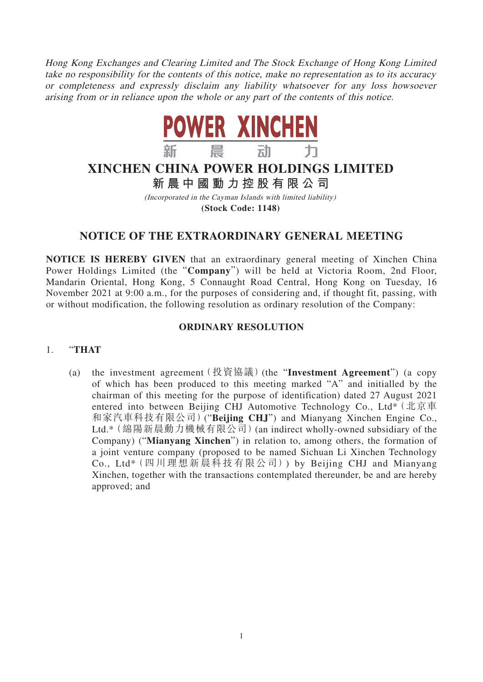Hong Kong Exchanges and Clearing Limited and The Stock Exchange of Hong Kong Limited take no responsibility for the contents of this notice, make no representation as to its accuracy or completeness and expressly disclaim any liability whatsoever for any loss howsoever arising from or in reliance upon the whole or any part of the contents of this notice.



## **XINCHEN CHINA POWER HOLDINGS LIMITED 新晨中國動力控股有限公 司**

(Incorporated in the Cayman Islands with limited liability) **(Stock Code: 1148)**

## **NOTICE OF THE EXTRAORDINARY GENERAL MEETING**

**NOTICE IS HEREBY GIVEN** that an extraordinary general meeting of Xinchen China Power Holdings Limited (the "**Company**") will be held at Victoria Room, 2nd Floor, Mandarin Oriental, Hong Kong, 5 Connaught Road Central, Hong Kong on Tuesday, 16 November 2021 at 9:00 a.m., for the purposes of considering and, if thought fit, passing, with or without modification, the following resolution as ordinary resolution of the Company:

## **ORDINARY RESOLUTION**

## 1. "**THAT**

(a) the investment agreement(投資協議)(the "**Investment Agreement**") (a copy of which has been produced to this meeting marked "A" and initialled by the chairman of this meeting for the purpose of identification) dated 27 August 2021 entered into between Beijing CHJ Automotive Technology Co., Ltd\*(北京車 和家汽車科技有限公司)("**Beijing CHJ**") and Mianyang Xinchen Engine Co., Ltd.\*(綿陽新晨動力機械有限公司)(an indirect wholly-owned subsidiary of the Company) ("**Mianyang Xinchen**") in relation to, among others, the formation of a joint venture company (proposed to be named Sichuan Li Xinchen Technology Co., Ltd\*(四川理想新晨科技有限公司)) by Beijing CHJ and Mianyang Xinchen, together with the transactions contemplated thereunder, be and are hereby approved; and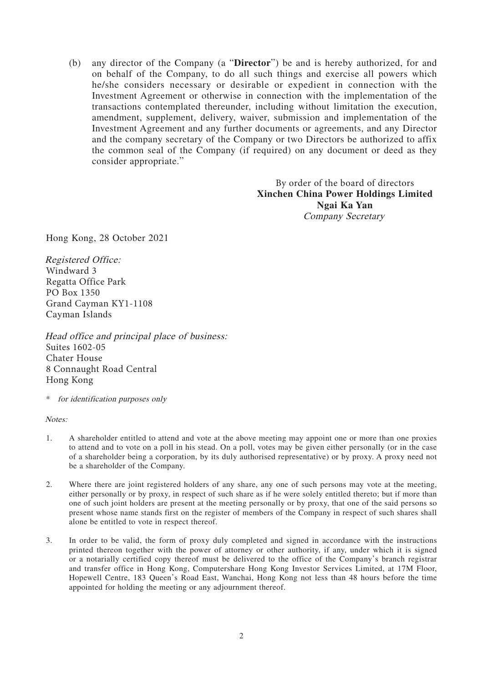(b) any director of the Company (a "**Director**") be and is hereby authorized, for and on behalf of the Company, to do all such things and exercise all powers which he/she considers necessary or desirable or expedient in connection with the Investment Agreement or otherwise in connection with the implementation of the transactions contemplated thereunder, including without limitation the execution, amendment, supplement, delivery, waiver, submission and implementation of the Investment Agreement and any further documents or agreements, and any Director and the company secretary of the Company or two Directors be authorized to affix the common seal of the Company (if required) on any document or deed as they consider appropriate."

> By order of the board of directors **Xinchen China Power Holdings Limited Ngai Ka Yan** Company Secretary

Hong Kong, 28 October 2021

Registered Office: Windward 3 Regatta Office Park PO Box 1350 Grand Cayman KY1-1108 Cayman Islands

Head office and principal place of business: Suites 1602-05 Chater House 8 Connaught Road Central Hong Kong

\* for identification purposes only

Notes:

- 1. A shareholder entitled to attend and vote at the above meeting may appoint one or more than one proxies to attend and to vote on a poll in his stead. On a poll, votes may be given either personally (or in the case of a shareholder being a corporation, by its duly authorised representative) or by proxy. A proxy need not be a shareholder of the Company.
- 2. Where there are joint registered holders of any share, any one of such persons may vote at the meeting, either personally or by proxy, in respect of such share as if he were solely entitled thereto; but if more than one of such joint holders are present at the meeting personally or by proxy, that one of the said persons so present whose name stands first on the register of members of the Company in respect of such shares shall alone be entitled to vote in respect thereof.
- 3. In order to be valid, the form of proxy duly completed and signed in accordance with the instructions printed thereon together with the power of attorney or other authority, if any, under which it is signed or a notarially certified copy thereof must be delivered to the office of the Company's branch registrar and transfer office in Hong Kong, Computershare Hong Kong Investor Services Limited, at 17M Floor, Hopewell Centre, 183 Queen's Road East, Wanchai, Hong Kong not less than 48 hours before the time appointed for holding the meeting or any adjournment thereof.